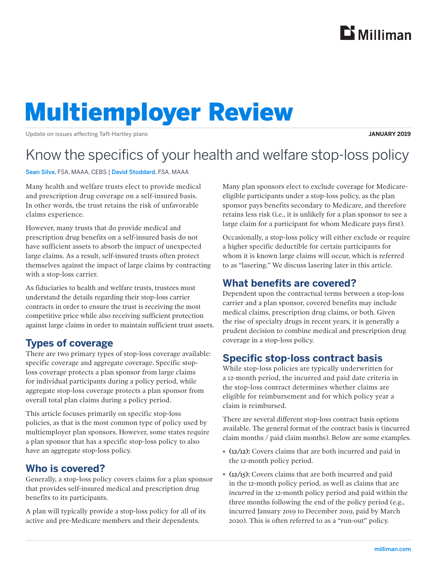

# Multiemployer Review

Update on issues affecting Taft-Hartley plans

#### **JANUARY 2019**

# Know the specifics of your health and welfare stop-loss policy

Sean Silva, FSA, MAAA, CEBS | David Stoddard, FSA, MAAA

Many health and welfare trusts elect to provide medical and prescription drug coverage on a self-insured basis. In other words, the trust retains the risk of unfavorable claims experience.

However, many trusts that do provide medical and prescription drug benefits on a self-insured basis do not have sufficient assets to absorb the impact of unexpected large claims. As a result, self-insured trusts often protect themselves against the impact of large claims by contracting with a stop-loss carrier.

As fiduciaries to health and welfare trusts, trustees must understand the details regarding their stop-loss carrier contracts in order to ensure the trust is receiving the most competitive price while also receiving sufficient protection against large claims in order to maintain sufficient trust assets.

# **Types of coverage**

There are two primary types of stop-loss coverage available: specific coverage and aggregate coverage. Specific stoploss coverage protects a plan sponsor from large claims for individual participants during a policy period, while aggregate stop-loss coverage protects a plan sponsor from overall total plan claims during a policy period.

This article focuses primarily on specific stop-loss policies, as that is the most common type of policy used by multiemployer plan sponsors. However, some states require a plan sponsor that has a specific stop-loss policy to also have an aggregate stop-loss policy.

#### **Who is covered?**

Generally, a stop-loss policy covers claims for a plan sponsor that provides self-insured medical and prescription drug benefits to its participants.

A plan will typically provide a stop-loss policy for all of its active and pre-Medicare members and their dependents.

Many plan sponsors elect to exclude coverage for Medicareeligible participants under a stop-loss policy, as the plan sponsor pays benefits secondary to Medicare, and therefore retains less risk (i.e., it is unlikely for a plan sponsor to see a large claim for a participant for whom Medicare pays first).

Occasionally, a stop-loss policy will either exclude or require a higher specific deductible for certain participants for whom it is known large claims will occur, which is referred to as "lasering." We discuss lasering later in this article.

### **What benefits are covered?**

Dependent upon the contractual terms between a stop-loss carrier and a plan sponsor, covered benefits may include medical claims, prescription drug claims, or both. Given the rise of specialty drugs in recent years, it is generally a prudent decision to combine medical and prescription drug coverage in a stop-loss policy.

# **Specific stop-loss contract basis**

While stop-loss policies are typically underwritten for a 12-month period, the incurred and paid date criteria in the stop-loss contract determines whether claims are eligible for reimbursement and for which policy year a claim is reimbursed.

There are several different stop-loss contract basis options available. The general format of the contract basis is (incurred claim months / paid claim months). Below are some examples.

- · (12/12): Covers claims that are both incurred and paid in the 12-month policy period.
- · (12/15): Covers claims that are both incurred and paid in the 12-month policy period, as well as claims that are *incurred* in the 12-month policy period and paid within the three months following the end of the policy period (e.g., incurred January 2019 to December 2019, paid by March 2020). This is often referred to as a "run-out" policy.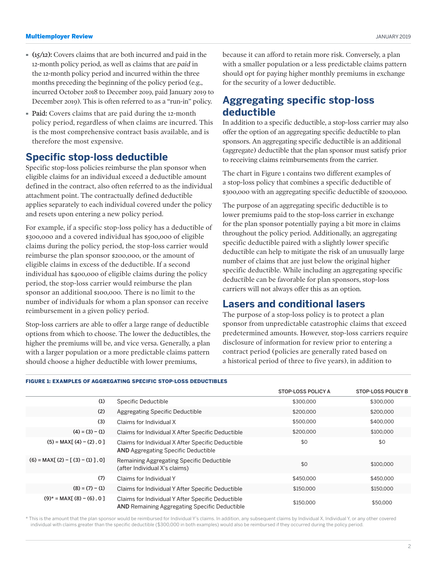- · (15/12): Covers claims that are both incurred and paid in the 12-month policy period, as well as claims that are *paid* in the 12-month policy period and incurred within the three months preceding the beginning of the policy period (e.g., incurred October 2018 to December 2019, paid January 2019 to December 2019). This is often referred to as a "run-in" policy.
- · Paid: Covers claims that are paid during the 12-month policy period, regardless of when claims are incurred. This is the most comprehensive contract basis available, and is therefore the most expensive.

#### **Specific stop-loss deductible**

Specific stop-loss policies reimburse the plan sponsor when eligible claims for an individual exceed a deductible amount defined in the contract, also often referred to as the individual attachment point. The contractually defined deductible applies separately to each individual covered under the policy and resets upon entering a new policy period.

For example, if a specific stop-loss policy has a deductible of \$300,000 and a covered individual has \$500,000 of eligible claims during the policy period, the stop-loss carrier would reimburse the plan sponsor \$200,000, or the amount of eligible claims in excess of the deductible. If a second individual has \$400,000 of eligible claims during the policy period, the stop-loss carrier would reimburse the plan sponsor an additional \$100,000. There is no limit to the number of individuals for whom a plan sponsor can receive reimbursement in a given policy period.

Stop-loss carriers are able to offer a large range of deductible options from which to choose. The lower the deductibles, the higher the premiums will be, and vice versa. Generally, a plan with a larger population or a more predictable claims pattern should choose a higher deductible with lower premiums,

because it can afford to retain more risk. Conversely, a plan with a smaller population or a less predictable claims pattern should opt for paying higher monthly premiums in exchange for the security of a lower deductible.

## **Aggregating specific stop-loss deductible**

In addition to a specific deductible, a stop-loss carrier may also offer the option of an aggregating specific deductible to plan sponsors. An aggregating specific deductible is an additional (aggregate) deductible that the plan sponsor must satisfy prior to receiving claims reimbursements from the carrier.

The chart in Figure 1 contains two different examples of a stop-loss policy that combines a specific deductible of \$300,000 with an aggregating specific deductible of \$200,000.

The purpose of an aggregating specific deductible is to lower premiums paid to the stop-loss carrier in exchange for the plan sponsor potentially paying a bit more in claims throughout the policy period. Additionally, an aggregating specific deductible paired with a slightly lower specific deductible can help to mitigate the risk of an unusually large number of claims that are just below the original higher specific deductible. While including an aggregating specific deductible can be favorable for plan sponsors, stop-loss carriers will not always offer this as an option.

#### **Lasers and conditional lasers**

The purpose of a stop-loss policy is to protect a plan sponsor from unpredictable catastrophic claims that exceed predetermined amounts. However, stop-loss carriers require disclosure of information for review prior to entering a contract period (policies are generally rated based on a historical period of three to five years), in addition to

|  | FIGURE 1: EXAMPLES OF AGGREGATING SPECIFIC STOP-LOSS DEDUCTIBLES |  |  |
|--|------------------------------------------------------------------|--|--|
|  |                                                                  |  |  |

|                                    |                                                                                                           | STOP-LOSS POLICY A | <b>STOP-LOSS POLICY B</b> |
|------------------------------------|-----------------------------------------------------------------------------------------------------------|--------------------|---------------------------|
| (1)                                | Specific Deductible                                                                                       | \$300,000          | \$300,000                 |
| (2)                                | <b>Aggregating Specific Deductible</b>                                                                    | \$200,000          | \$200,000                 |
| (3)                                | Claims for Individual X                                                                                   | \$500,000          | \$400,000                 |
| $(4) = (3) - (1)$                  | Claims for Individual X After Specific Deductible                                                         | \$200,000          | \$100,000                 |
| $(5) = MAX[$ $(4) - (2)$ , 0]      | Claims for Individual X After Specific Deductible<br><b>AND</b> Aggregating Specific Deductible           | \$0                | \$0                       |
| $(6) = MAX[(2) - [(3) - (1)]$ , 0] | Remaining Aggregating Specific Deductible<br>(after Individual X's claims)                                | \$0                | \$100,000                 |
| (7)                                | Claims for Individual Y                                                                                   | \$450,000          | \$450,000                 |
| $(8) = (7) - (1)$                  | Claims for Individual Y After Specific Deductible                                                         | \$150,000          | \$150,000                 |
| $(9)^*$ = MAX[ $(8)$ – $(6)$ , 0]  | Claims for Individual Y After Specific Deductible<br><b>AND</b> Remaining Aggregating Specific Deductible | \$150,000          | \$50,000                  |

\* This is the amount that the plan sponsor would be reimbursed for Individual Y's claims. In addition, any subsequent claims by Individual X, Individual Y, or any other covered individual with claims greater than the specific deductible (\$300,000 in both examples) would also be reimbursed if they occurred during the policy period.